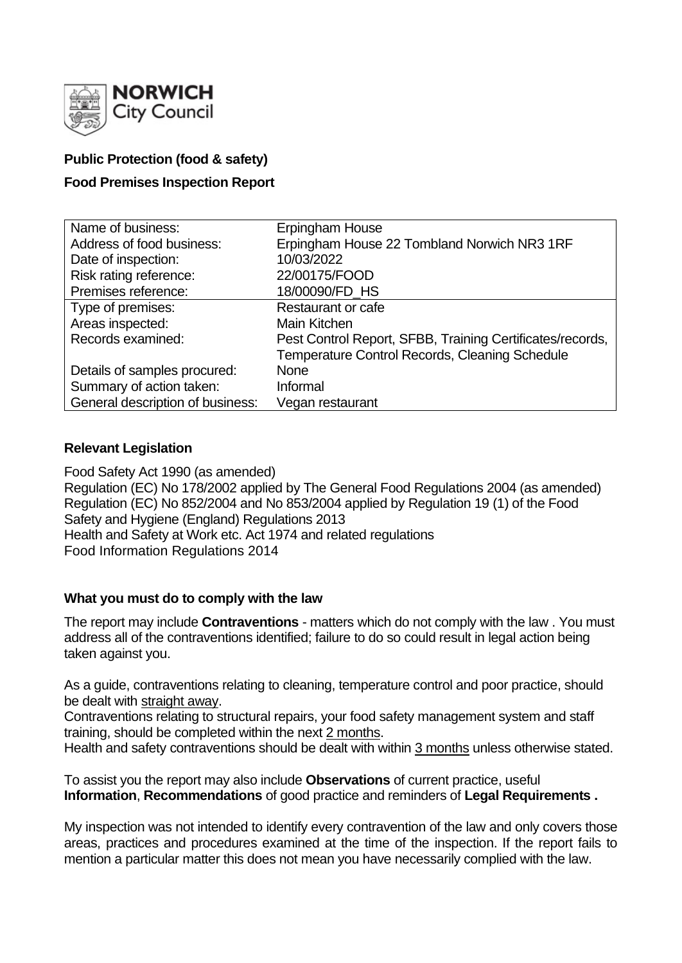

# **Public Protection (food & safety)**

# **Food Premises Inspection Report**

| Name of business:                | Erpingham House                                           |
|----------------------------------|-----------------------------------------------------------|
| Address of food business:        | Erpingham House 22 Tombland Norwich NR3 1RF               |
| Date of inspection:              | 10/03/2022                                                |
| Risk rating reference:           | 22/00175/FOOD                                             |
| Premises reference:              | 18/00090/FD_HS                                            |
| Type of premises:                | Restaurant or cafe                                        |
| Areas inspected:                 | Main Kitchen                                              |
| Records examined:                | Pest Control Report, SFBB, Training Certificates/records, |
|                                  | Temperature Control Records, Cleaning Schedule            |
| Details of samples procured:     | <b>None</b>                                               |
| Summary of action taken:         | Informal                                                  |
| General description of business: | Vegan restaurant                                          |

## **Relevant Legislation**

Food Safety Act 1990 (as amended) Regulation (EC) No 178/2002 applied by The General Food Regulations 2004 (as amended) Regulation (EC) No 852/2004 and No 853/2004 applied by Regulation 19 (1) of the Food Safety and Hygiene (England) Regulations 2013 Health and Safety at Work etc. Act 1974 and related regulations Food Information Regulations 2014

## **What you must do to comply with the law**

The report may include **Contraventions** - matters which do not comply with the law . You must address all of the contraventions identified; failure to do so could result in legal action being taken against you.

As a guide, contraventions relating to cleaning, temperature control and poor practice, should be dealt with straight away.

Contraventions relating to structural repairs, your food safety management system and staff training, should be completed within the next 2 months.

Health and safety contraventions should be dealt with within 3 months unless otherwise stated.

To assist you the report may also include **Observations** of current practice, useful **Information**, **Recommendations** of good practice and reminders of **Legal Requirements .**

My inspection was not intended to identify every contravention of the law and only covers those areas, practices and procedures examined at the time of the inspection. If the report fails to mention a particular matter this does not mean you have necessarily complied with the law.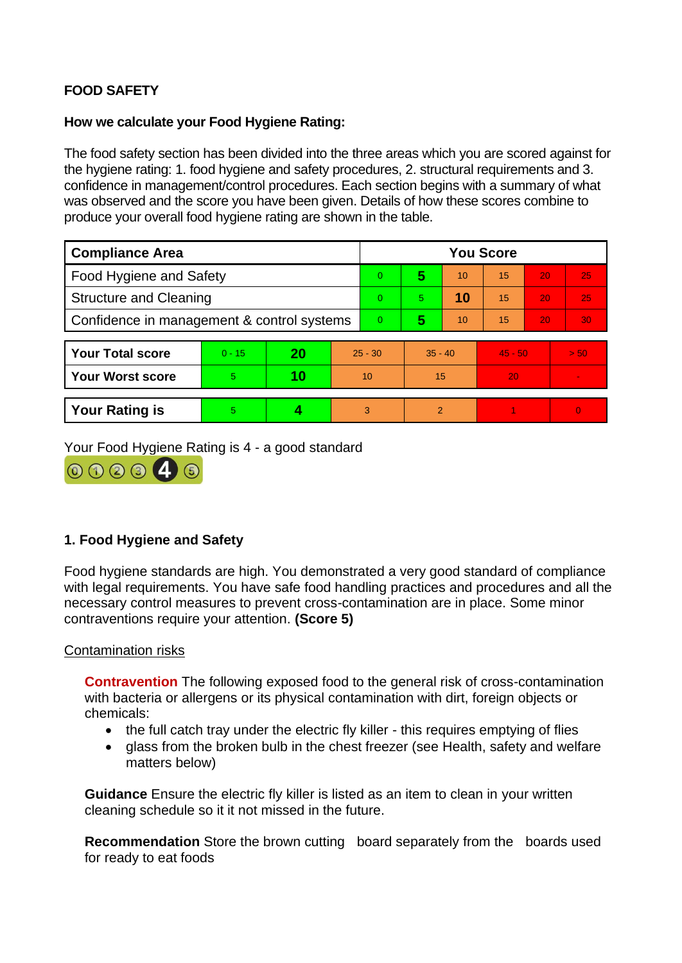# **FOOD SAFETY**

## **How we calculate your Food Hygiene Rating:**

The food safety section has been divided into the three areas which you are scored against for the hygiene rating: 1. food hygiene and safety procedures, 2. structural requirements and 3. confidence in management/control procedures. Each section begins with a summary of what was observed and the score you have been given. Details of how these scores combine to produce your overall food hygiene rating are shown in the table.

| <b>Compliance Area</b>                     |          |    |           | <b>You Score</b> |               |    |           |    |                |  |
|--------------------------------------------|----------|----|-----------|------------------|---------------|----|-----------|----|----------------|--|
| <b>Food Hygiene and Safety</b>             |          |    |           | $\overline{0}$   | 5             | 10 | 15        | 20 | 25             |  |
| <b>Structure and Cleaning</b>              |          |    |           | $\Omega$         | 5.            | 10 | 15        | 20 | 25             |  |
| Confidence in management & control systems |          |    |           | $\overline{0}$   | 5             | 10 | 15        | 20 | 30             |  |
|                                            |          |    |           |                  |               |    |           |    |                |  |
| <b>Your Total score</b>                    | $0 - 15$ | 20 | $25 - 30$ |                  | $35 - 40$     |    | $45 - 50$ |    | > 50           |  |
| <b>Your Worst score</b>                    | 5        | 10 | 10        |                  | 15            |    | 20        |    | $\sim$         |  |
|                                            |          |    |           |                  |               |    |           |    |                |  |
| <b>Your Rating is</b>                      | 5        |    |           | 3                | $\mathcal{P}$ |    |           |    | $\overline{0}$ |  |

Your Food Hygiene Rating is 4 - a good standard



# **1. Food Hygiene and Safety**

Food hygiene standards are high. You demonstrated a very good standard of compliance with legal requirements. You have safe food handling practices and procedures and all the necessary control measures to prevent cross-contamination are in place. Some minor contraventions require your attention. **(Score 5)**

## Contamination risks

**Contravention** The following exposed food to the general risk of cross-contamination with bacteria or allergens or its physical contamination with dirt, foreign objects or chemicals:

- the full catch tray under the electric fly killer this requires emptying of flies
- glass from the broken bulb in the chest freezer (see Health, safety and welfare matters below)

**Guidance** Ensure the electric fly killer is listed as an item to clean in your written cleaning schedule so it it not missed in the future.

**Recommendation** Store the brown cutting board separately from the boards used for ready to eat foods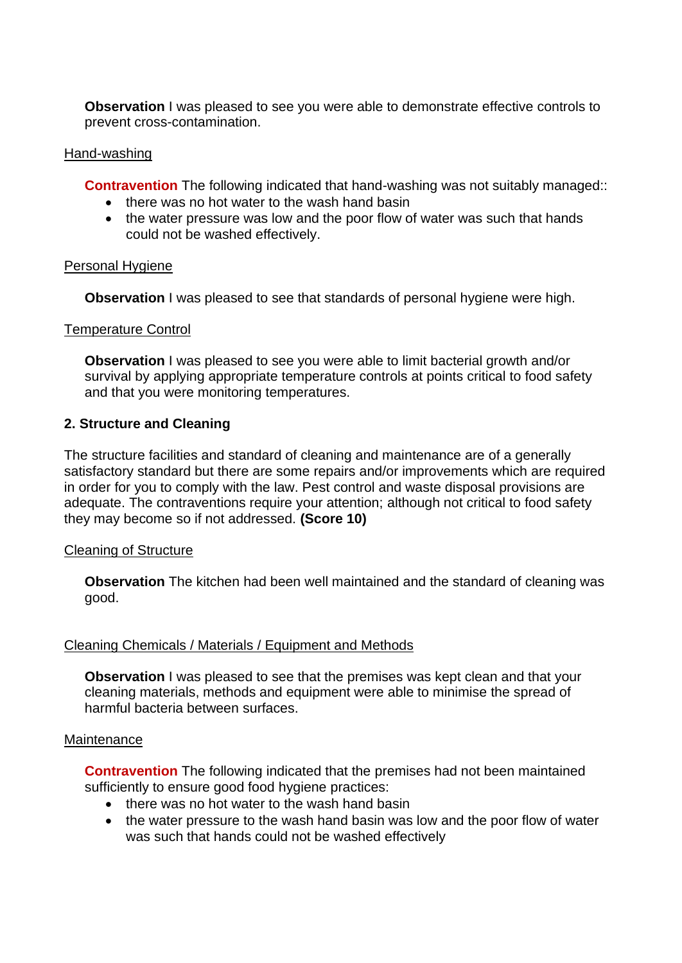**Observation** I was pleased to see you were able to demonstrate effective controls to prevent cross-contamination.

## Hand-washing

**Contravention** The following indicated that hand-washing was not suitably managed::

- there was no hot water to the wash hand basin
- the water pressure was low and the poor flow of water was such that hands could not be washed effectively.

## Personal Hygiene

**Observation** I was pleased to see that standards of personal hygiene were high.

## Temperature Control

**Observation I** was pleased to see you were able to limit bacterial growth and/or survival by applying appropriate temperature controls at points critical to food safety and that you were monitoring temperatures.

## **2. Structure and Cleaning**

The structure facilities and standard of cleaning and maintenance are of a generally satisfactory standard but there are some repairs and/or improvements which are required in order for you to comply with the law. Pest control and waste disposal provisions are adequate. The contraventions require your attention; although not critical to food safety they may become so if not addressed. **(Score 10)**

#### Cleaning of Structure

**Observation** The kitchen had been well maintained and the standard of cleaning was good.

#### Cleaning Chemicals / Materials / Equipment and Methods

**Observation** I was pleased to see that the premises was kept clean and that your cleaning materials, methods and equipment were able to minimise the spread of harmful bacteria between surfaces.

#### **Maintenance**

**Contravention** The following indicated that the premises had not been maintained sufficiently to ensure good food hygiene practices:

- there was no hot water to the wash hand basin
- the water pressure to the wash hand basin was low and the poor flow of water was such that hands could not be washed effectively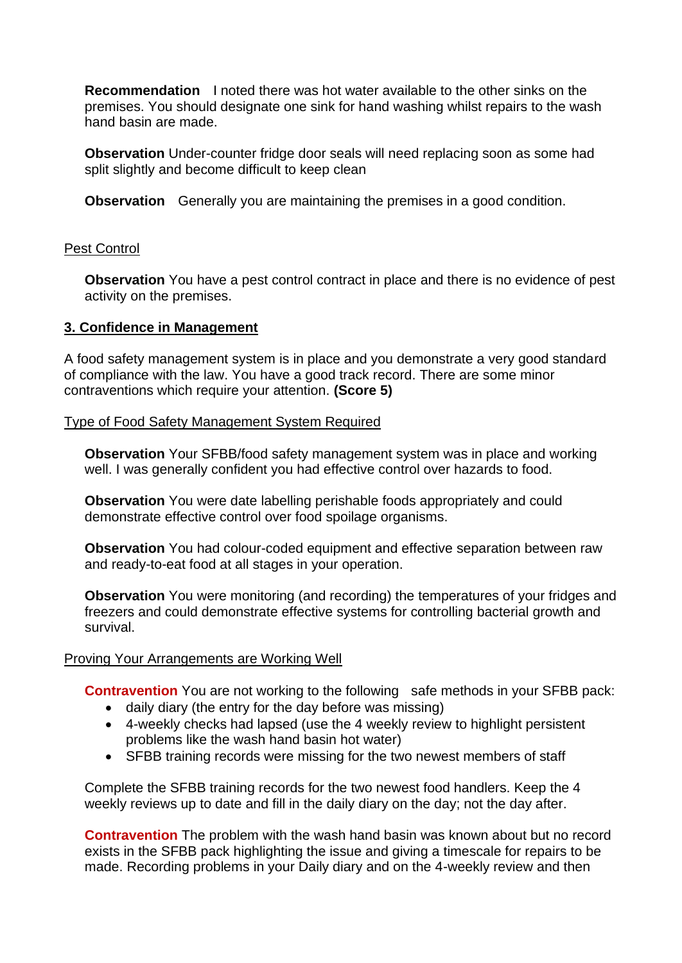**Recommendation** I noted there was hot water available to the other sinks on the premises. You should designate one sink for hand washing whilst repairs to the wash hand basin are made.

**Observation** Under-counter fridge door seals will need replacing soon as some had split slightly and become difficult to keep clean

**Observation** Generally you are maintaining the premises in a good condition.

## Pest Control

**Observation** You have a pest control contract in place and there is no evidence of pest activity on the premises.

## **3. Confidence in Management**

A food safety management system is in place and you demonstrate a very good standard of compliance with the law. You have a good track record. There are some minor contraventions which require your attention. **(Score 5)**

## Type of Food Safety Management System Required

**Observation** Your SFBB/food safety management system was in place and working well. I was generally confident you had effective control over hazards to food.

**Observation** You were date labelling perishable foods appropriately and could demonstrate effective control over food spoilage organisms.

**Observation** You had colour-coded equipment and effective separation between raw and ready-to-eat food at all stages in your operation.

**Observation** You were monitoring (and recording) the temperatures of your fridges and freezers and could demonstrate effective systems for controlling bacterial growth and survival.

## Proving Your Arrangements are Working Well

**Contravention** You are not working to the following safe methods in your SFBB pack:

- daily diary (the entry for the day before was missing)
- 4-weekly checks had lapsed (use the 4 weekly review to highlight persistent problems like the wash hand basin hot water)
- SFBB training records were missing for the two newest members of staff

Complete the SFBB training records for the two newest food handlers. Keep the 4 weekly reviews up to date and fill in the daily diary on the day; not the day after.

**Contravention** The problem with the wash hand basin was known about but no record exists in the SFBB pack highlighting the issue and giving a timescale for repairs to be made. Recording problems in your Daily diary and on the 4-weekly review and then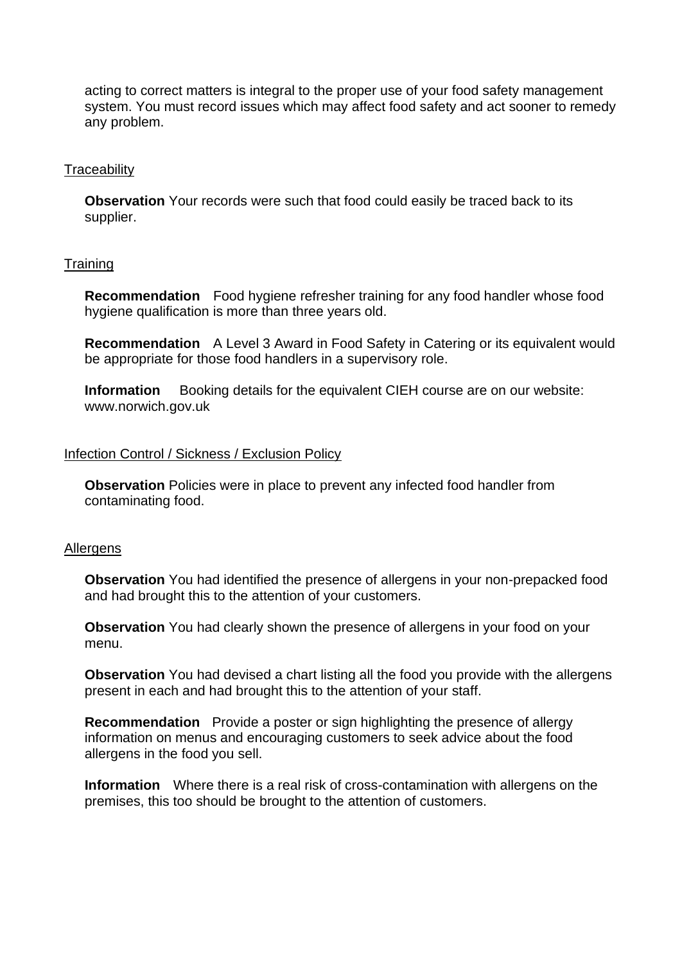acting to correct matters is integral to the proper use of your food safety management system. You must record issues which may affect food safety and act sooner to remedy any problem.

#### **Traceability**

**Observation** Your records were such that food could easily be traced back to its supplier.

## **Training**

**Recommendation** Food hygiene refresher training for any food handler whose food hygiene qualification is more than three years old.

**Recommendation** A Level 3 Award in Food Safety in Catering or its equivalent would be appropriate for those food handlers in a supervisory role.

**Information** Booking details for the equivalent CIEH course are on our website: www.norwich.gov.uk

#### Infection Control / Sickness / Exclusion Policy

**Observation** Policies were in place to prevent any infected food handler from contaminating food.

#### **Allergens**

**Observation** You had identified the presence of allergens in your non-prepacked food and had brought this to the attention of your customers.

**Observation** You had clearly shown the presence of allergens in your food on your menu.

**Observation** You had devised a chart listing all the food you provide with the allergens present in each and had brought this to the attention of your staff.

**Recommendation** Provide a poster or sign highlighting the presence of allergy information on menus and encouraging customers to seek advice about the food allergens in the food you sell.

**Information** Where there is a real risk of cross-contamination with allergens on the premises, this too should be brought to the attention of customers.